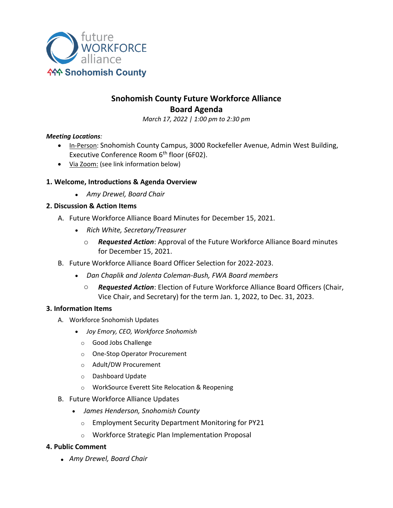

# **Snohomish County Future Workforce Alliance Board Agenda**

*March 17, 2022 | 1:00 pm to 2:30 pm*

#### *Meeting Locations:*

- In-Person: Snohomish County Campus, 3000 Rockefeller Avenue, Admin West Building, Executive Conference Room 6<sup>th</sup> floor (6F02).
- Via Zoom: (see link information below)

# **1. Welcome, Introductions & Agenda Overview**

• *Amy Drewel, Board Chair*

# **2. Discussion & Action Items**

- A. Future Workforce Alliance Board Minutes for December 15, 2021.
	- *Rich White, Secretary/Treasurer*
		- o *Requested Action*: Approval of the Future Workforce Alliance Board minutes for December 15, 2021.
- B. Future Workforce Alliance Board Officer Selection for 2022-2023.
	- *Dan Chaplik and Jolenta Coleman-Bush, FWA Board members*
		- o *Requested Action*: Election of Future Workforce Alliance Board Officers (Chair, Vice Chair, and Secretary) for the term Jan. 1, 2022, to Dec. 31, 2023.

### **3. Information Items**

- A. Workforce Snohomish Updates
	- *Joy Emory, CEO, Workforce Snohomish*
		- o Good Jobs Challenge
		- o One-Stop Operator Procurement
		- o Adult/DW Procurement
		- o Dashboard Update
		- o WorkSource Everett Site Relocation & Reopening
- B. Future Workforce Alliance Updates
	- *James Henderson, Snohomish County*
		- o Employment Security Department Monitoring for PY21
		- o Workforce Strategic Plan Implementation Proposal

### **4. Public Comment**

• *Amy Drewel, Board Chair*